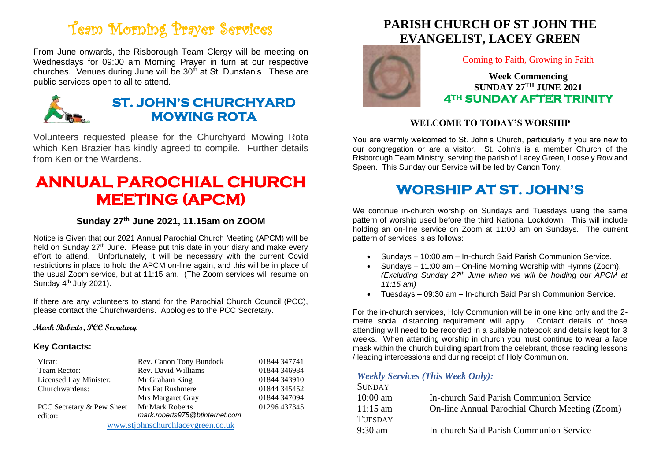# Team Morning Prayer Services

From June onwards, the Risborough Team Clergy will be meeting on Wednesdays for 09:00 am Morning Prayer in turn at our respective churches. Venues during June will be  $30<sup>th</sup>$  at St. Dunstan's. These are public services open to all to attend.



### **ST. JOHN'S CHURCHYARD MOWING ROTA**

Volunteers requested please for the Churchyard Mowing Rota which Ken Brazier has kindly agreed to compile. Further details from Ken or the Wardens.

## **ANNUAL PAROCHIAL CHURCH MEETING (APCM)**

#### **Sunday 27th June 2021, 11.15am on ZOOM**

Notice is Given that our 2021 Annual Parochial Church Meeting (APCM) will be held on Sunday  $27<sup>th</sup>$  June. Please put this date in your diary and make every effort to attend. Unfortunately, it will be necessary with the current Covid restrictions in place to hold the APCM on-line again, and this will be in place of the usual Zoom service, but at 11:15 am. (The Zoom services will resume on Sunday 4<sup>th</sup> July 2021).

If there are any volunteers to stand for the Parochial Church Council (PCC), please contact the Churchwardens. Apologies to the PCC Secretary.

#### **Mark Roberts, PCC Secretary**

#### **Key Contacts:**

| Vicar:                            | Rev. Canon Tony Bundock        | 01844 347741 |
|-----------------------------------|--------------------------------|--------------|
| Team Rector:                      | Rev. David Williams            | 01844 346984 |
| Licensed Lay Minister:            | Mr Graham King                 | 01844 343910 |
| Churchwardens:                    | Mrs Pat Rushmere               | 01844 345452 |
|                                   | Mrs Margaret Gray              | 01844 347094 |
| PCC Secretary & Pew Sheet         | Mr Mark Roberts                | 01296 437345 |
| editor:                           | mark.roberts975@btinternet.com |              |
| www.stjohnschurchlaceygreen.co.uk |                                |              |

### **PARISH CHURCH OF ST JOHN THE EVANGELIST, LACEY GREEN**



Coming to Faith, Growing in Faith

**Week Commencing SUNDAY 27 TH JUNE 2021 4TH SUNDAY AFTER TRINITY** 

#### **WELCOME TO TODAY'S WORSHIP**

You are warmly welcomed to St. John's Church, particularly if you are new to our congregation or are a visitor. St. John's is a member Church of the Risborough Team Ministry, serving the parish of Lacey Green, Loosely Row and Speen. This Sunday our Service will be led by Canon Tony.

## **WORSHIP AT ST. JOHN'S**

We continue in-church worship on Sundays and Tuesdays using the same pattern of worship used before the third National Lockdown. This will include holding an on-line service on Zoom at 11:00 am on Sundays. The current pattern of services is as follows:

- Sundays 10:00 am In-church Said Parish Communion Service.
- Sundays 11:00 am On-line Morning Worship with Hymns (Zoom). *(Excluding Sunday 27th June when we will be holding our APCM at 11:15 am)*
- Tuesdays 09:30 am In-church Said Parish Communion Service.

For the in-church services, Holy Communion will be in one kind only and the 2 metre social distancing requirement will apply. Contact details of those attending will need to be recorded in a suitable notebook and details kept for 3 weeks. When attending worship in church you must continue to wear a face mask within the church building apart from the celebrant, those reading lessons / leading intercessions and during receipt of Holy Communion.

#### *Weekly Services (This Week Only):*

| In-church Said Parish Communion Service        |
|------------------------------------------------|
| On-line Annual Parochial Church Meeting (Zoom) |
|                                                |
| In-church Said Parish Communion Service        |
|                                                |